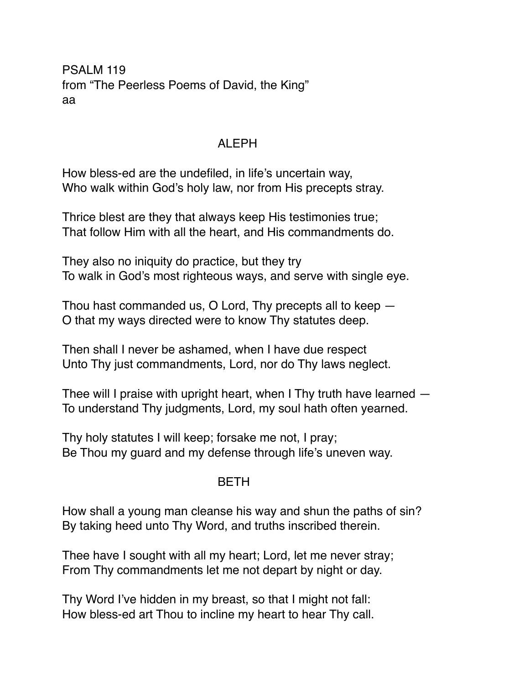PSALM 119 from "The Peerless Poems of David, the King" aa

## ALEPH

How bless-ed are the undefiled, in life's uncertain way, Who walk within God's holy law, nor from His precepts stray.

Thrice blest are they that always keep His testimonies true; That follow Him with all the heart, and His commandments do.

They also no iniquity do practice, but they try To walk in God's most righteous ways, and serve with single eye.

Thou hast commanded us, O Lord, Thy precepts all to keep — O that my ways directed were to know Thy statutes deep.

Then shall I never be ashamed, when I have due respect Unto Thy just commandments, Lord, nor do Thy laws neglect.

Thee will I praise with upright heart, when I Thy truth have learned — To understand Thy judgments, Lord, my soul hath often yearned.

Thy holy statutes I will keep; forsake me not, I pray; Be Thou my guard and my defense through life's uneven way.

## BETH

How shall a young man cleanse his way and shun the paths of sin? By taking heed unto Thy Word, and truths inscribed therein.

Thee have I sought with all my heart; Lord, let me never stray; From Thy commandments let me not depart by night or day.

Thy Word I've hidden in my breast, so that I might not fall: How bless-ed art Thou to incline my heart to hear Thy call.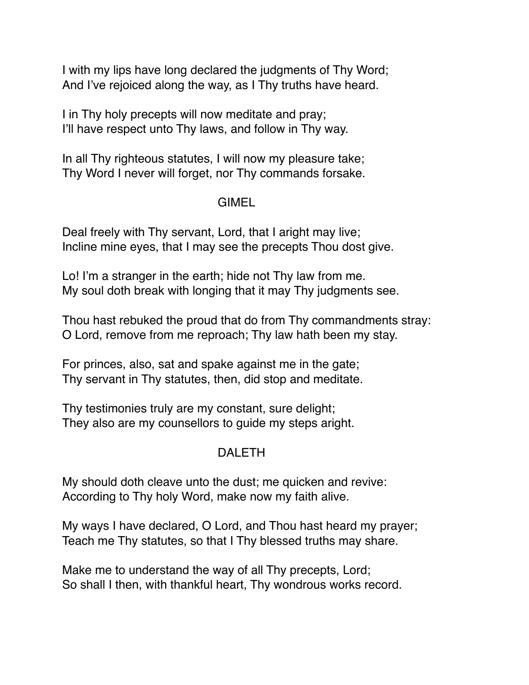I with my lips have long declared the judgments of Thy Word; And I've rejoiced along the way, as I Thy truths have heard.

I in Thy holy precepts will now meditate and pray; I'll have respect unto Thy laws, and follow in Thy way.

In all Thy righteous statutes, I will now my pleasure take; Thy Word I never will forget, nor Thy commands forsake.

### GIMEL

Deal freely with Thy servant, Lord, that I aright may live; Incline mine eyes, that I may see the precepts Thou dost give.

Lo! I'm a stranger in the earth; hide not Thy law from me. My soul doth break with longing that it may Thy judgments see.

Thou hast rebuked the proud that do from Thy commandments stray: O Lord, remove from me reproach; Thy law hath been my stay.

For princes, also, sat and spake against me in the gate; Thy servant in Thy statutes, then, did stop and meditate.

Thy testimonies truly are my constant, sure delight; They also are my counsellors to guide my steps aright.

# DALETH

My should doth cleave unto the dust; me quicken and revive: According to Thy holy Word, make now my faith alive.

My ways I have declared, O Lord, and Thou hast heard my prayer; Teach me Thy statutes, so that I Thy blessed truths may share.

Make me to understand the way of all Thy precepts, Lord; So shall I then, with thankful heart, Thy wondrous works record.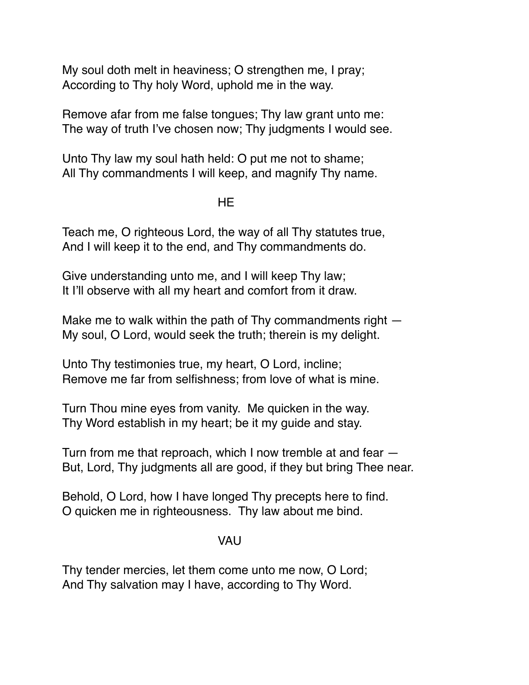My soul doth melt in heaviness; O strengthen me, I pray; According to Thy holy Word, uphold me in the way.

Remove afar from me false tongues; Thy law grant unto me: The way of truth I've chosen now; Thy judgments I would see.

Unto Thy law my soul hath held: O put me not to shame; All Thy commandments I will keep, and magnify Thy name.

#### HE

Teach me, O righteous Lord, the way of all Thy statutes true, And I will keep it to the end, and Thy commandments do.

Give understanding unto me, and I will keep Thy law; It I'll observe with all my heart and comfort from it draw.

Make me to walk within the path of Thy commandments right  $-$ My soul, O Lord, would seek the truth; therein is my delight.

Unto Thy testimonies true, my heart, O Lord, incline; Remove me far from selfishness; from love of what is mine.

Turn Thou mine eyes from vanity. Me quicken in the way. Thy Word establish in my heart; be it my guide and stay.

Turn from me that reproach, which I now tremble at and fear — But, Lord, Thy judgments all are good, if they but bring Thee near.

Behold, O Lord, how I have longed Thy precepts here to find. O quicken me in righteousness. Thy law about me bind.

#### VAU

Thy tender mercies, let them come unto me now, O Lord; And Thy salvation may I have, according to Thy Word.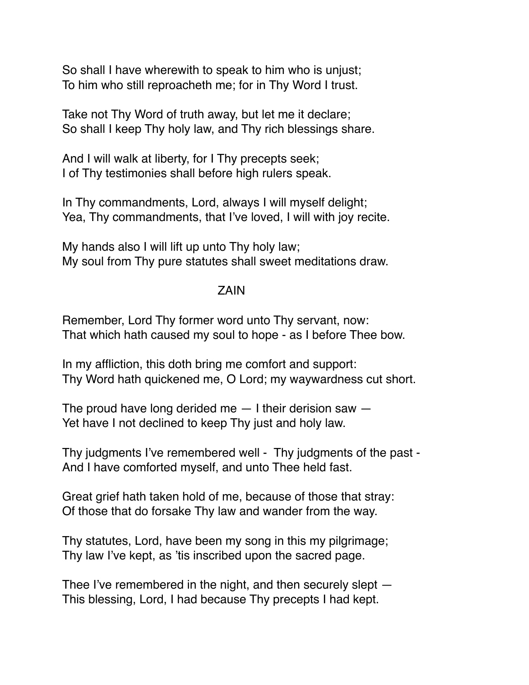So shall I have wherewith to speak to him who is unjust; To him who still reproacheth me; for in Thy Word I trust.

Take not Thy Word of truth away, but let me it declare; So shall I keep Thy holy law, and Thy rich blessings share.

And I will walk at liberty, for I Thy precepts seek; I of Thy testimonies shall before high rulers speak.

In Thy commandments, Lord, always I will myself delight; Yea, Thy commandments, that I've loved, I will with joy recite.

My hands also I will lift up unto Thy holy law; My soul from Thy pure statutes shall sweet meditations draw.

### ZAIN

Remember, Lord Thy former word unto Thy servant, now: That which hath caused my soul to hope - as I before Thee bow.

In my affliction, this doth bring me comfort and support: Thy Word hath quickened me, O Lord; my waywardness cut short.

The proud have long derided me  $-1$  their derision saw  $-$ Yet have I not declined to keep Thy just and holy law.

Thy judgments I've remembered well - Thy judgments of the past - And I have comforted myself, and unto Thee held fast.

Great grief hath taken hold of me, because of those that stray: Of those that do forsake Thy law and wander from the way.

Thy statutes, Lord, have been my song in this my pilgrimage; Thy law I've kept, as 'tis inscribed upon the sacred page.

Thee I've remembered in the night, and then securely slept — This blessing, Lord, I had because Thy precepts I had kept.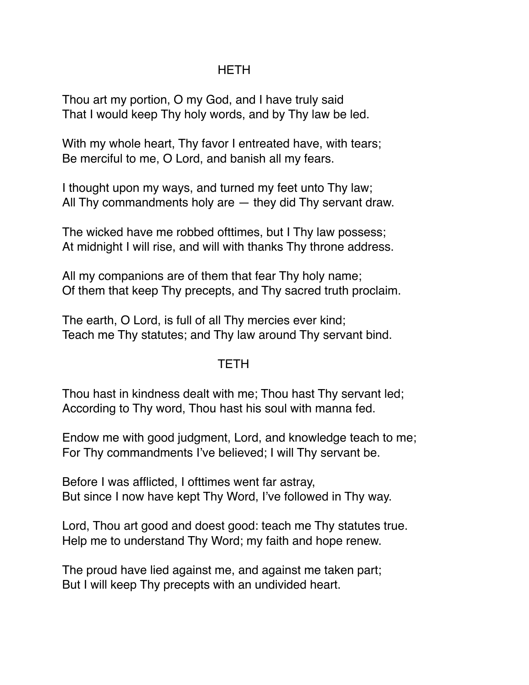# HETH

Thou art my portion, O my God, and I have truly said That I would keep Thy holy words, and by Thy law be led.

With my whole heart, Thy favor I entreated have, with tears; Be merciful to me, O Lord, and banish all my fears.

I thought upon my ways, and turned my feet unto Thy law; All Thy commandments holy are — they did Thy servant draw.

The wicked have me robbed ofttimes, but I Thy law possess; At midnight I will rise, and will with thanks Thy throne address.

All my companions are of them that fear Thy holy name; Of them that keep Thy precepts, and Thy sacred truth proclaim.

The earth, O Lord, is full of all Thy mercies ever kind; Teach me Thy statutes; and Thy law around Thy servant bind.

## **TETH**

Thou hast in kindness dealt with me; Thou hast Thy servant led; According to Thy word, Thou hast his soul with manna fed.

Endow me with good judgment, Lord, and knowledge teach to me; For Thy commandments I've believed; I will Thy servant be.

Before I was afflicted, I ofttimes went far astray, But since I now have kept Thy Word, I've followed in Thy way.

Lord, Thou art good and doest good: teach me Thy statutes true. Help me to understand Thy Word; my faith and hope renew.

The proud have lied against me, and against me taken part; But I will keep Thy precepts with an undivided heart.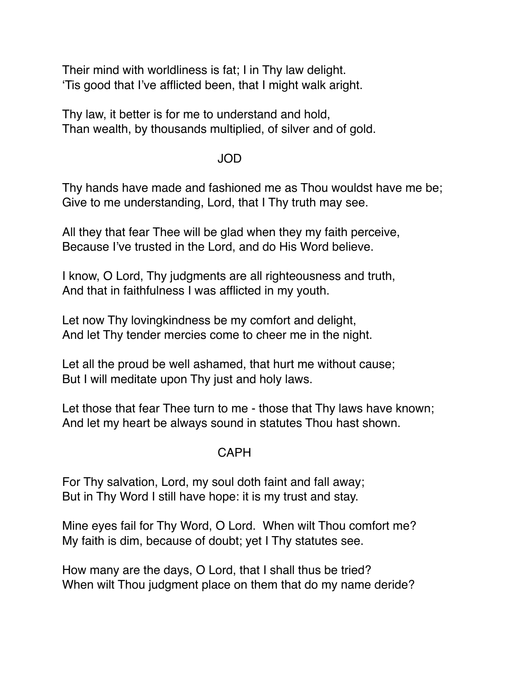Their mind with worldliness is fat; I in Thy law delight. 'Tis good that I've afflicted been, that I might walk aright.

Thy law, it better is for me to understand and hold, Than wealth, by thousands multiplied, of silver and of gold.

#### JOD

Thy hands have made and fashioned me as Thou wouldst have me be; Give to me understanding, Lord, that I Thy truth may see.

All they that fear Thee will be glad when they my faith perceive, Because I've trusted in the Lord, and do His Word believe.

I know, O Lord, Thy judgments are all righteousness and truth, And that in faithfulness I was afflicted in my youth.

Let now Thy lovingkindness be my comfort and delight, And let Thy tender mercies come to cheer me in the night.

Let all the proud be well ashamed, that hurt me without cause; But I will meditate upon Thy just and holy laws.

Let those that fear Thee turn to me - those that Thy laws have known; And let my heart be always sound in statutes Thou hast shown.

#### CAPH

For Thy salvation, Lord, my soul doth faint and fall away; But in Thy Word I still have hope: it is my trust and stay.

Mine eyes fail for Thy Word, O Lord. When wilt Thou comfort me? My faith is dim, because of doubt; yet I Thy statutes see.

How many are the days, O Lord, that I shall thus be tried? When wilt Thou judgment place on them that do my name deride?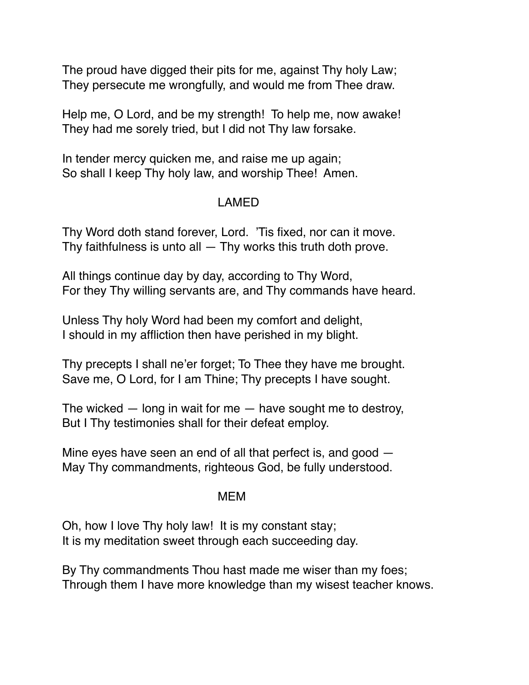The proud have digged their pits for me, against Thy holy Law; They persecute me wrongfully, and would me from Thee draw.

Help me, O Lord, and be my strength! To help me, now awake! They had me sorely tried, but I did not Thy law forsake.

In tender mercy quicken me, and raise me up again; So shall I keep Thy holy law, and worship Thee! Amen.

# LAMED

Thy Word doth stand forever, Lord. 'Tis fixed, nor can it move. Thy faithfulness is unto all  $-$  Thy works this truth doth prove.

All things continue day by day, according to Thy Word, For they Thy willing servants are, and Thy commands have heard.

Unless Thy holy Word had been my comfort and delight, I should in my affliction then have perished in my blight.

Thy precepts I shall ne'er forget; To Thee they have me brought. Save me, O Lord, for I am Thine; Thy precepts I have sought.

The wicked  $-$  long in wait for me  $-$  have sought me to destroy, But I Thy testimonies shall for their defeat employ.

Mine eyes have seen an end of all that perfect is, and good — May Thy commandments, righteous God, be fully understood.

## MEM

Oh, how I love Thy holy law! It is my constant stay; It is my meditation sweet through each succeeding day.

By Thy commandments Thou hast made me wiser than my foes; Through them I have more knowledge than my wisest teacher knows.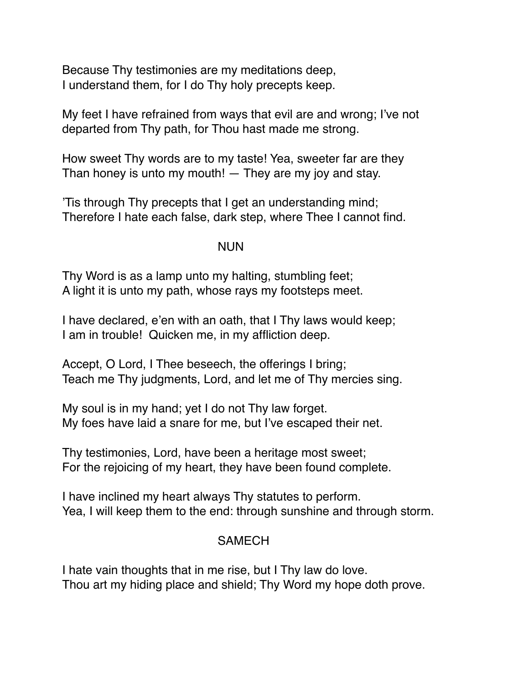Because Thy testimonies are my meditations deep, I understand them, for I do Thy holy precepts keep.

My feet I have refrained from ways that evil are and wrong; I've not departed from Thy path, for Thou hast made me strong.

How sweet Thy words are to my taste! Yea, sweeter far are they Than honey is unto my mouth!  $-$  They are my joy and stay.

'Tis through Thy precepts that I get an understanding mind; Therefore I hate each false, dark step, where Thee I cannot find.

### NUN

Thy Word is as a lamp unto my halting, stumbling feet; A light it is unto my path, whose rays my footsteps meet.

I have declared, e'en with an oath, that I Thy laws would keep; I am in trouble! Quicken me, in my affliction deep.

Accept, O Lord, I Thee beseech, the offerings I bring; Teach me Thy judgments, Lord, and let me of Thy mercies sing.

My soul is in my hand; yet I do not Thy law forget. My foes have laid a snare for me, but I've escaped their net.

Thy testimonies, Lord, have been a heritage most sweet; For the rejoicing of my heart, they have been found complete.

I have inclined my heart always Thy statutes to perform. Yea, I will keep them to the end: through sunshine and through storm.

## **SAMECH**

I hate vain thoughts that in me rise, but I Thy law do love. Thou art my hiding place and shield; Thy Word my hope doth prove.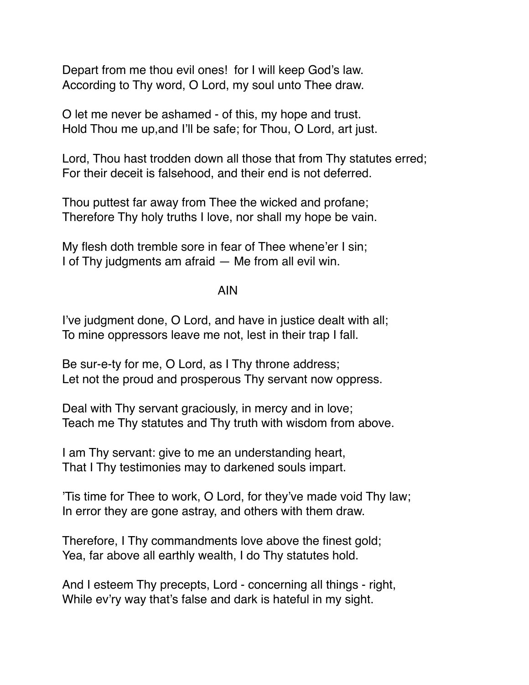Depart from me thou evil ones! for I will keep God's law. According to Thy word, O Lord, my soul unto Thee draw.

O let me never be ashamed - of this, my hope and trust. Hold Thou me up,and I'll be safe; for Thou, O Lord, art just.

Lord, Thou hast trodden down all those that from Thy statutes erred; For their deceit is falsehood, and their end is not deferred.

Thou puttest far away from Thee the wicked and profane; Therefore Thy holy truths I love, nor shall my hope be vain.

My flesh doth tremble sore in fear of Thee whene'er I sin; I of Thy judgments am afraid — Me from all evil win.

AIN

I've judgment done, O Lord, and have in justice dealt with all; To mine oppressors leave me not, lest in their trap I fall.

Be sur-e-ty for me, O Lord, as I Thy throne address; Let not the proud and prosperous Thy servant now oppress.

Deal with Thy servant graciously, in mercy and in love; Teach me Thy statutes and Thy truth with wisdom from above.

I am Thy servant: give to me an understanding heart, That I Thy testimonies may to darkened souls impart.

'Tis time for Thee to work, O Lord, for they've made void Thy law; In error they are gone astray, and others with them draw.

Therefore, I Thy commandments love above the finest gold; Yea, far above all earthly wealth, I do Thy statutes hold.

And I esteem Thy precepts, Lord - concerning all things - right, While ev'ry way that's false and dark is hateful in my sight.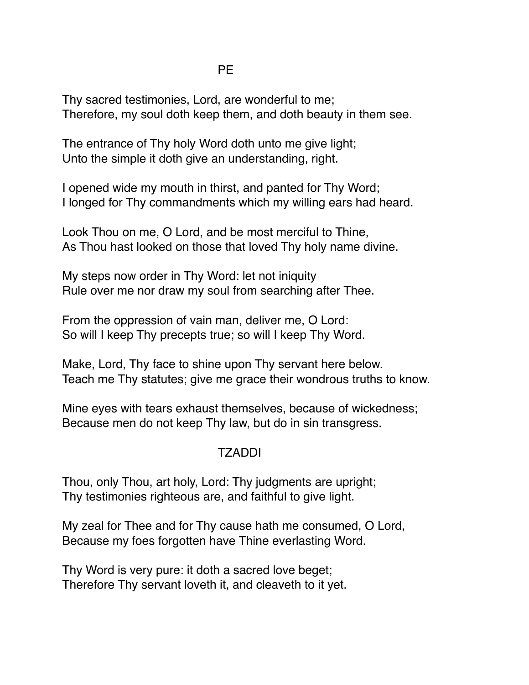Thy sacred testimonies, Lord, are wonderful to me; Therefore, my soul doth keep them, and doth beauty in them see.

The entrance of Thy holy Word doth unto me give light; Unto the simple it doth give an understanding, right.

I opened wide my mouth in thirst, and panted for Thy Word; I longed for Thy commandments which my willing ears had heard.

Look Thou on me, O Lord, and be most merciful to Thine, As Thou hast looked on those that loved Thy holy name divine.

My steps now order in Thy Word: let not iniquity Rule over me nor draw my soul from searching after Thee.

From the oppression of vain man, deliver me, O Lord: So will I keep Thy precepts true; so will I keep Thy Word.

Make, Lord, Thy face to shine upon Thy servant here below. Teach me Thy statutes; give me grace their wondrous truths to know.

Mine eyes with tears exhaust themselves, because of wickedness; Because men do not keep Thy law, but do in sin transgress.

# TZADDI

Thou, only Thou, art holy, Lord: Thy judgments are upright; Thy testimonies righteous are, and faithful to give light.

My zeal for Thee and for Thy cause hath me consumed, O Lord, Because my foes forgotten have Thine everlasting Word.

Thy Word is very pure: it doth a sacred love beget; Therefore Thy servant loveth it, and cleaveth to it yet.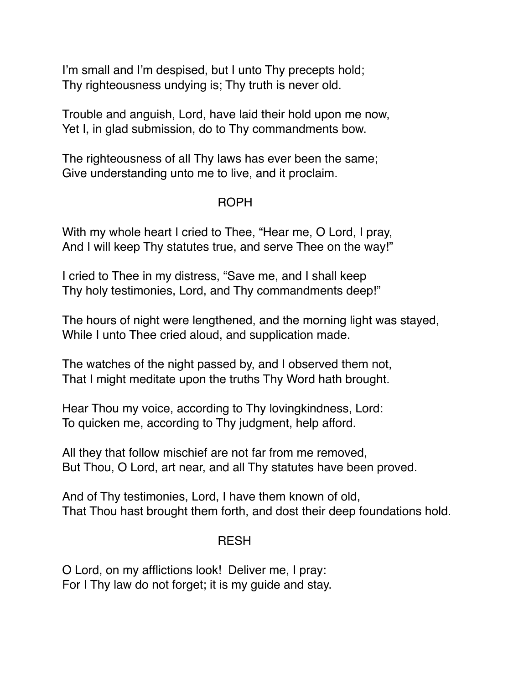I'm small and I'm despised, but I unto Thy precepts hold; Thy righteousness undying is; Thy truth is never old.

Trouble and anguish, Lord, have laid their hold upon me now, Yet I, in glad submission, do to Thy commandments bow.

The righteousness of all Thy laws has ever been the same; Give understanding unto me to live, and it proclaim.

# ROPH

With my whole heart I cried to Thee, "Hear me, O Lord, I pray, And I will keep Thy statutes true, and serve Thee on the way!"

I cried to Thee in my distress, "Save me, and I shall keep Thy holy testimonies, Lord, and Thy commandments deep!"

The hours of night were lengthened, and the morning light was stayed, While I unto Thee cried aloud, and supplication made.

The watches of the night passed by, and I observed them not, That I might meditate upon the truths Thy Word hath brought.

Hear Thou my voice, according to Thy lovingkindness, Lord: To quicken me, according to Thy judgment, help afford.

All they that follow mischief are not far from me removed, But Thou, O Lord, art near, and all Thy statutes have been proved.

And of Thy testimonies, Lord, I have them known of old, That Thou hast brought them forth, and dost their deep foundations hold.

## RESH

O Lord, on my afflictions look! Deliver me, I pray: For I Thy law do not forget; it is my guide and stay.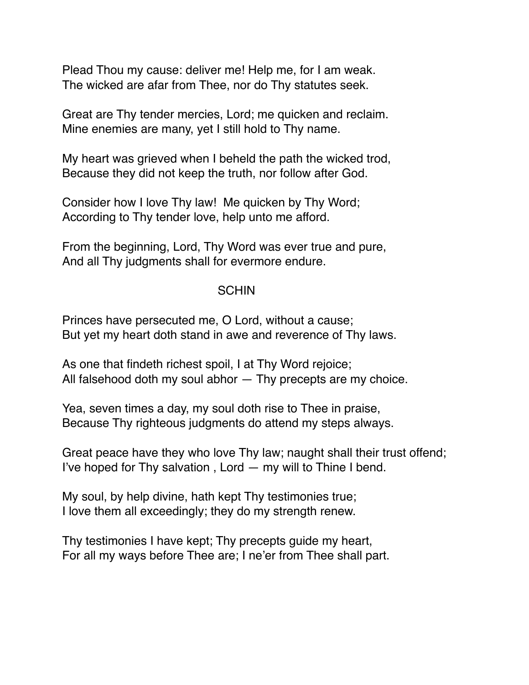Plead Thou my cause: deliver me! Help me, for I am weak. The wicked are afar from Thee, nor do Thy statutes seek.

Great are Thy tender mercies, Lord; me quicken and reclaim. Mine enemies are many, yet I still hold to Thy name.

My heart was grieved when I beheld the path the wicked trod, Because they did not keep the truth, nor follow after God.

Consider how I love Thy law! Me quicken by Thy Word; According to Thy tender love, help unto me afford.

From the beginning, Lord, Thy Word was ever true and pure, And all Thy judgments shall for evermore endure.

#### **SCHIN**

Princes have persecuted me, O Lord, without a cause; But yet my heart doth stand in awe and reverence of Thy laws.

As one that findeth richest spoil, I at Thy Word rejoice; All falsehood doth my soul abhor — Thy precepts are my choice.

Yea, seven times a day, my soul doth rise to Thee in praise, Because Thy righteous judgments do attend my steps always.

Great peace have they who love Thy law; naught shall their trust offend; I've hoped for Thy salvation , Lord — my will to Thine I bend.

My soul, by help divine, hath kept Thy testimonies true; I love them all exceedingly; they do my strength renew.

Thy testimonies I have kept; Thy precepts guide my heart, For all my ways before Thee are; I ne'er from Thee shall part.